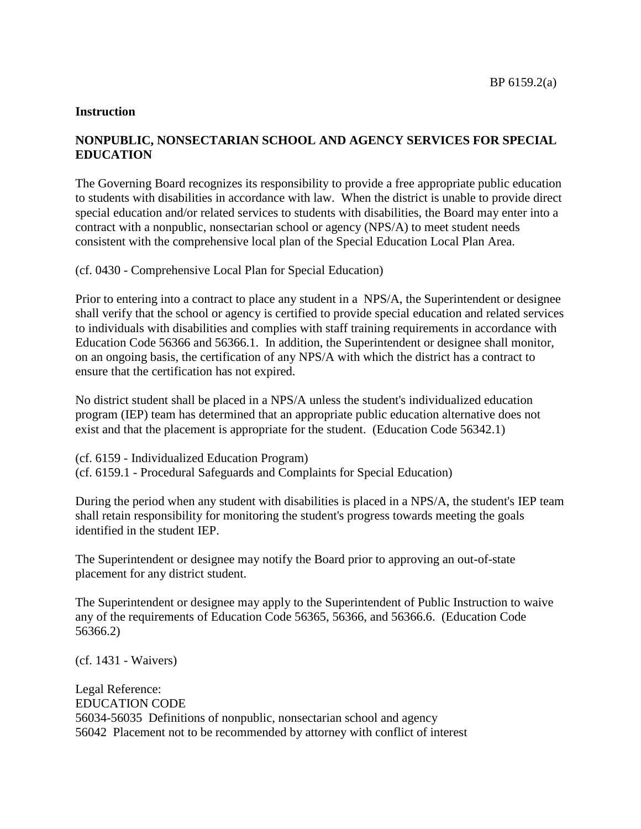## **Instruction**

## **NONPUBLIC, NONSECTARIAN SCHOOL AND AGENCY SERVICES FOR SPECIAL EDUCATION**

The Governing Board recognizes its responsibility to provide a free appropriate public education to students with disabilities in accordance with law. When the district is unable to provide direct special education and/or related services to students with disabilities, the Board may enter into a contract with a nonpublic, nonsectarian school or agency (NPS/A) to meet student needs consistent with the comprehensive local plan of the Special Education Local Plan Area.

(cf. 0430 - Comprehensive Local Plan for Special Education)

Prior to entering into a contract to place any student in a NPS/A, the Superintendent or designee shall verify that the school or agency is certified to provide special education and related services to individuals with disabilities and complies with staff training requirements in accordance with Education Code 56366 and 56366.1. In addition, the Superintendent or designee shall monitor, on an ongoing basis, the certification of any NPS/A with which the district has a contract to ensure that the certification has not expired.

No district student shall be placed in a NPS/A unless the student's individualized education program (IEP) team has determined that an appropriate public education alternative does not exist and that the placement is appropriate for the student. (Education Code 56342.1)

(cf. 6159 - Individualized Education Program) (cf. 6159.1 - Procedural Safeguards and Complaints for Special Education)

During the period when any student with disabilities is placed in a NPS/A, the student's IEP team shall retain responsibility for monitoring the student's progress towards meeting the goals identified in the student IEP.

The Superintendent or designee may notify the Board prior to approving an out-of-state placement for any district student.

The Superintendent or designee may apply to the Superintendent of Public Instruction to waive any of the requirements of Education Code 56365, 56366, and 56366.6. (Education Code 56366.2)

(cf. 1431 - Waivers)

Legal Reference: EDUCATION CODE 56034-56035 Definitions of nonpublic, nonsectarian school and agency 56042 Placement not to be recommended by attorney with conflict of interest